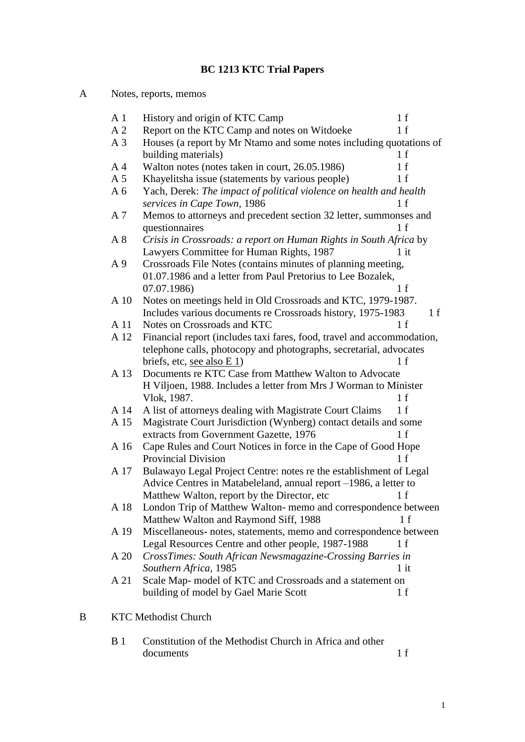# **BC 1213 KTC Trial Papers**

| A | Notes, reports, memos |                                                                                                                   |
|---|-----------------------|-------------------------------------------------------------------------------------------------------------------|
|   | A <sub>1</sub>        | History and origin of KTC Camp<br>1 f                                                                             |
|   | A <sub>2</sub>        | Report on the KTC Camp and notes on Witdoeke<br>1 f                                                               |
|   | A <sub>3</sub>        | Houses (a report by Mr Ntamo and some notes including quotations of                                               |
|   |                       | building materials)<br>1 f                                                                                        |
|   | A <sub>4</sub>        | Walton notes (notes taken in court, 26.05.1986)<br>1 f                                                            |
|   | A <sub>5</sub>        | Khayelitsha issue (statements by various people)<br>1 f                                                           |
|   | A <sub>6</sub>        | Yach, Derek: The impact of political violence on health and health                                                |
|   |                       | services in Cape Town, 1986<br>1 f                                                                                |
|   | A 7                   | Memos to attorneys and precedent section 32 letter, summonses and                                                 |
|   |                       | 1 f<br>questionnaires                                                                                             |
|   | A 8                   | Crisis in Crossroads: a report on Human Rights in South Africa by                                                 |
|   |                       | Lawyers Committee for Human Rights, 1987<br>$1$ it                                                                |
|   | A <sub>9</sub>        | Crossroads File Notes (contains minutes of planning meeting,                                                      |
|   |                       | 01.07.1986 and a letter from Paul Pretorius to Lee Bozalek,                                                       |
|   |                       | 1 f<br>07.07.1986)                                                                                                |
|   | A 10                  | Notes on meetings held in Old Crossroads and KTC, 1979-1987.                                                      |
|   |                       | Includes various documents re Crossroads history, 1975-1983<br>1 f                                                |
|   | A 11                  | Notes on Crossroads and KTC<br>1 f                                                                                |
|   | A 12                  | Financial report (includes taxi fares, food, travel and accommodation,                                            |
|   |                       | telephone calls, photocopy and photographs, secretarial, advocates                                                |
|   |                       | briefs, etc, see also $E_1$ )<br>1 f                                                                              |
|   | A 13                  | Documents re KTC Case from Matthew Walton to Advocate                                                             |
|   |                       | H Viljoen, 1988. Includes a letter from Mrs J Worman to Minister                                                  |
|   |                       | Vlok, 1987.<br>1 f                                                                                                |
|   | A 14                  | A list of attorneys dealing with Magistrate Court Claims<br>1 f                                                   |
|   | A 15                  | Magistrate Court Jurisdiction (Wynberg) contact details and some<br>extracts from Government Gazette, 1976<br>1 f |
|   | A 16                  | Cape Rules and Court Notices in force in the Cape of Good Hope                                                    |
|   |                       | <b>Provincial Division</b><br>1 f                                                                                 |
|   | A 17                  | Bulawayo Legal Project Centre: notes re the establishment of Legal                                                |
|   |                       | Advice Centres in Matabeleland, annual report -1986, a letter to                                                  |
|   |                       | Matthew Walton, report by the Director, etc<br>1 f                                                                |
|   | A 18                  | London Trip of Matthew Walton-memo and correspondence between                                                     |
|   |                       | Matthew Walton and Raymond Siff, 1988<br>1 f                                                                      |
|   | A 19                  | Miscellaneous- notes, statements, memo and correspondence between                                                 |
|   |                       | Legal Resources Centre and other people, 1987-1988<br>1 f                                                         |
|   | A 20                  | CrossTimes: South African Newsmagazine-Crossing Barries in                                                        |
|   |                       | Southern Africa, 1985<br>$1$ it                                                                                   |
|   | A 21                  | Scale Map- model of KTC and Crossroads and a statement on                                                         |
|   |                       | 1 f<br>building of model by Gael Marie Scott                                                                      |
|   |                       |                                                                                                                   |
| B |                       | <b>KTC Methodist Church</b>                                                                                       |
|   |                       |                                                                                                                   |

B 1 Constitution of the Methodist Church in Africa and other documents 1 f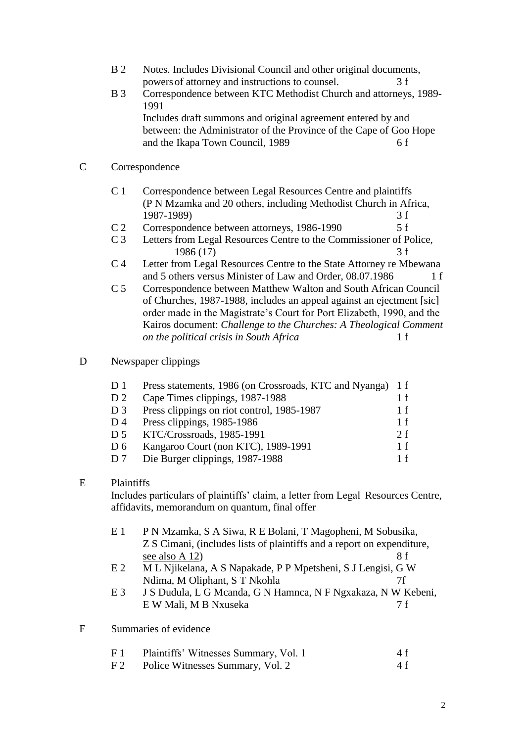- B 2 Notes. Includes Divisional Council and other original documents, powersof attorney and instructions to counsel. 3 f
- B 3 Correspondence between KTC Methodist Church and attorneys, 1989- 1991 Includes draft summons and original agreement entered by and between: the Administrator of the Province of the Cape of Goo Hope and the Ikapa Town Council, 1989 6 f
- C Correspondence
	- C 1 Correspondence between Legal Resources Centre and plaintiffs (P N Mzamka and 20 others, including Methodist Church in Africa, 1987-1989) 3 f
	- C 2 Correspondence between attorneys, 1986-1990 5 f
	- C 3 Letters from Legal Resources Centre to the Commissioner of Police, 1986 (17) 3 f
	- C 4 Letter from Legal Resources Centre to the State Attorney re Mbewana and 5 others versus Minister of Law and Order, 08.07.1986 1 f
	- C 5 Correspondence between Matthew Walton and South African Council of Churches, 1987-1988, includes an appeal against an ejectment [sic] order made in the Magistrate's Court for Port Elizabeth, 1990, and the Kairos document: *Challenge to the Churches: A Theological Comment on the political crisis in South Africa* 1 f

#### D Newspaper clippings

| D <sub>1</sub>                                      | Press statements, 1986 (on Crossroads, KTC and Nyanga) 1 f |
|-----------------------------------------------------|------------------------------------------------------------|
| Cape Times clippings, 1987-1988<br>D <sub>2</sub>   | 1 f                                                        |
| Press clippings on riot control, 1985-1987<br>$D_3$ | 1 f                                                        |
| Press clippings, 1985-1986<br>$D_4$                 | 1 f                                                        |
| KTC/Crossroads, 1985-1991<br>D <sub>5</sub>         | 2f                                                         |
| Kangaroo Court (non KTC), 1989-1991<br>D6           | 1 f                                                        |
| Die Burger clippings, 1987-1988<br>D <sub>7</sub>   | 1 f                                                        |

#### E Plaintiffs

Includes particulars of plaintiffs' claim, a letter from Legal Resources Centre, affidavits, memorandum on quantum, final offer

- E 1 P N Mzamka, S A Siwa, R E Bolani, T Magopheni, M Sobusika, Z S Cimani, (includes lists of plaintiffs and a report on expenditure, see also A 12)  $8 f$
- E 2 M L Njikelana, A S Napakade, P P Mpetsheni, S J Lengisi, G W Ndima, M Oliphant, S T Nkohla 7f
- E 3 J S Dudula, L G Mcanda, G N Hamnca, N F Ngxakaza, N W Kebeni, E W Mali, M B Nxuseka 7 f
- F Summaries of evidence

| F 1 | Plaintiffs' Witnesses Summary, Vol. 1 | 4 f |
|-----|---------------------------------------|-----|
| F 2 | Police Witnesses Summary, Vol. 2      | 4 f |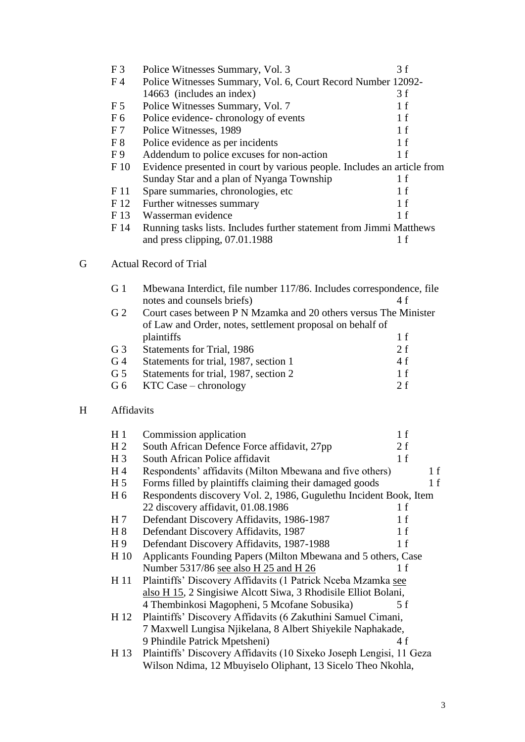|   | F <sub>3</sub> | Police Witnesses Summary, Vol. 3                                        | 3f  |
|---|----------------|-------------------------------------------------------------------------|-----|
|   | F <sub>4</sub> | Police Witnesses Summary, Vol. 6, Court Record Number 12092-            |     |
|   |                | 14663 (includes an index)                                               | 3f  |
|   | F <sub>5</sub> | Police Witnesses Summary, Vol. 7                                        | 1 f |
|   | F <sub>6</sub> | Police evidence- chronology of events                                   | 1 f |
|   | F <sub>7</sub> | Police Witnesses, 1989                                                  | 1 f |
|   | F8             | Police evidence as per incidents                                        | 1 f |
|   | F <sub>9</sub> | Addendum to police excuses for non-action                               | 1 f |
|   | F 10           | Evidence presented in court by various people. Includes an article from |     |
|   |                | Sunday Star and a plan of Nyanga Township                               | 1 f |
|   | F 11           | Spare summaries, chronologies, etc.                                     | 1 f |
|   | F 12           | Further witnesses summary                                               | 1 f |
|   | F 13           | Wasserman evidence                                                      | 1 f |
|   | F 14           | Running tasks lists. Includes further statement from Jimmi Matthews     |     |
|   |                | and press clipping, 07.01.1988                                          | 1 f |
| G |                | Actual Record of Trial                                                  |     |
|   |                |                                                                         |     |

| G 1               | Mbewana Interdict, file number 117/86. Includes correspondence, file |      |
|-------------------|----------------------------------------------------------------------|------|
|                   | notes and counsels briefs)                                           | 4 f  |
| G <sub>2</sub>    | Court cases between P N Mzamka and 20 others versus The Minister     |      |
|                   | of Law and Order, notes, settlement proposal on behalf of            |      |
|                   | plaintiffs                                                           | 1 f  |
| G <sub>3</sub>    | Statements for Trial, 1986                                           | 2f   |
| G <sub>4</sub>    | Statements for trial, 1987, section 1                                | 4 f  |
| G <sub>5</sub>    | Statements for trial, 1987, section 2                                | 1 f  |
| G 6               | $KTC Case - chronology$                                              | 2. f |
|                   |                                                                      |      |
| <b>Affidavits</b> |                                                                      |      |
|                   |                                                                      |      |

 $\overline{\mathrm{H}}$ 

| H <sub>1</sub> | Commission application                                              | 1 f |     |
|----------------|---------------------------------------------------------------------|-----|-----|
| H <sub>2</sub> | South African Defence Force affidavit, 27pp                         | 2f  |     |
| $H_3$          | South African Police affidavit                                      | 1 f |     |
| H <sub>4</sub> | Respondents' affidavits (Milton Mbewana and five others)            |     | 1 f |
| H <sub>5</sub> | Forms filled by plaintiffs claiming their damaged goods             |     | 1 f |
| H <sub>6</sub> | Respondents discovery Vol. 2, 1986, Gugulethu Incident Book, Item   |     |     |
|                | 22 discovery affidavit, 01.08.1986                                  | 1 f |     |
| H <sub>7</sub> | Defendant Discovery Affidavits, 1986-1987                           | 1 f |     |
| H 8            | Defendant Discovery Affidavits, 1987                                | 1 f |     |
| H <sub>9</sub> | Defendant Discovery Affidavits, 1987-1988                           | 1 f |     |
| H 10           | Applicants Founding Papers (Milton Mbewana and 5 others, Case       |     |     |
|                | Number 5317/86 see also H 25 and H 26                               | 1 f |     |
| H 11           | Plaintiffs' Discovery Affidavits (1 Patrick Nceba Mzamka see        |     |     |
|                | also H 15, 2 Singisiwe Alcott Siwa, 3 Rhodisile Elliot Bolani,      |     |     |
|                | 4 Thembinkosi Magopheni, 5 Mcofane Sobusika)                        | 5 f |     |
| H 12           | Plaintiffs' Discovery Affidavits (6 Zakuthini Samuel Cimani,        |     |     |
|                | 7 Maxwell Lungisa Njikelana, 8 Albert Shiyekile Naphakade,          |     |     |
|                | 9 Phindile Patrick Mpetsheni)                                       | 4f  |     |
| H 13           | Plaintiffs' Discovery Affidavits (10 Sixeko Joseph Lengisi, 11 Geza |     |     |
|                | Wilson Ndima, 12 Mbuyiselo Oliphant, 13 Sicelo Theo Nkohla,         |     |     |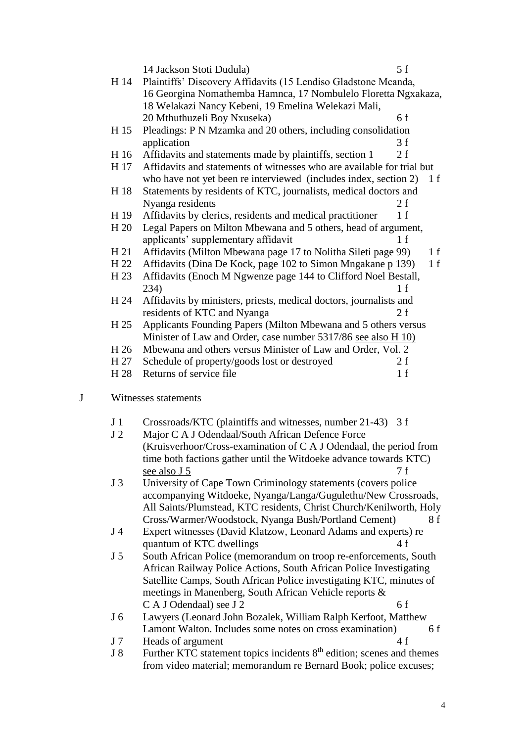|   |                | 5f<br>14 Jackson Stoti Dudula)                                         |     |
|---|----------------|------------------------------------------------------------------------|-----|
|   | H 14           | Plaintiffs' Discovery Affidavits (15 Lendiso Gladstone Mcanda,         |     |
|   |                | 16 Georgina Nomathemba Hamnca, 17 Nombulelo Floretta Ngxakaza,         |     |
|   |                | 18 Welakazi Nancy Kebeni, 19 Emelina Welekazi Mali,                    |     |
|   |                | 20 Mthuthuzeli Boy Nxuseka)<br>6f                                      |     |
|   | H 15           | Pleadings: P N Mzamka and 20 others, including consolidation           |     |
|   |                | 3f<br>application                                                      |     |
|   | H 16           | Affidavits and statements made by plaintiffs, section 1<br>2f          |     |
|   | H 17           | Affidavits and statements of witnesses who are available for trial but |     |
|   |                | who have not yet been re interviewed (includes index, section 2)       | 1 f |
|   | H 18           | Statements by residents of KTC, journalists, medical doctors and       |     |
|   |                | Nyanga residents<br>2 f                                                |     |
|   | H 19           | Affidavits by clerics, residents and medical practitioner<br>1 f       |     |
|   | H 20           | Legal Papers on Milton Mbewana and 5 others, head of argument,         |     |
|   |                | applicants' supplementary affidavit<br>1 f                             |     |
|   | H 21           | Affidavits (Milton Mbewana page 17 to Nolitha Sileti page 99)          | 1 f |
|   | H 22           | Affidavits (Dina De Kock, page 102 to Simon Mngakane p 139)            | 1 f |
|   | H 23           | Affidavits (Enoch M Ngwenze page 144 to Clifford Noel Bestall,         |     |
|   |                | 234)<br>1 f                                                            |     |
|   | H 24           | Affidavits by ministers, priests, medical doctors, journalists and     |     |
|   |                | residents of KTC and Nyanga<br>2f                                      |     |
|   | H 25           | Applicants Founding Papers (Milton Mbewana and 5 others versus         |     |
|   |                | Minister of Law and Order, case number 5317/86 see also H 10)          |     |
|   | H 26           | Mbewana and others versus Minister of Law and Order, Vol. 2            |     |
|   | H 27           | Schedule of property/goods lost or destroyed<br>2f                     |     |
|   | H 28           | Returns of service file<br>1 f                                         |     |
|   |                |                                                                        |     |
| J |                | Witnesses statements                                                   |     |
|   | J <sub>1</sub> | Crossroads/KTC (plaintiffs and witnesses, number 21-43) 3 f            |     |
|   | J <sub>2</sub> | Major C A J Odendaal/South African Defence Force                       |     |
|   |                | (Kruisverhoor/Cross-examination of C A J Odendaal, the period from     |     |
|   |                | time both factions gather until the Witdoeke advance towards KTC)      |     |
|   |                | 7 f<br>see also J 5                                                    |     |
|   | J <sub>3</sub> | University of Cape Town Criminology statements (covers police          |     |
|   |                | accompanying Witdoeke, Nyanga/Langa/Gugulethu/New Crossroads,          |     |
|   |                | All Saints/Plumstead, KTC residents, Christ Church/Kenilworth, Holy    |     |
|   |                | Cross/Warmer/Woodstock, Nyanga Bush/Portland Cement)                   | 8 f |
|   | J 4            | Expert witnesses (David Klatzow, Leonard Adams and experts) re         |     |
|   |                | quantum of KTC dwellings<br>4 f                                        |     |
|   |                |                                                                        |     |

J 5 South African Police (memorandum on troop re-enforcements, South African Railway Police Actions, South African Police Investigating Satellite Camps, South African Police investigating KTC, minutes of meetings in Manenberg, South African Vehicle reports &  $C A J O$ dendaal) see J 2 6 f

## J 6 Lawyers (Leonard John Bozalek, William Ralph Kerfoot, Matthew Lamont Walton. Includes some notes on cross examination) 6 f

- J 7 Heads of argument 4 f
- $J 8$  Further KTC statement topics incidents  $8<sup>th</sup>$  edition; scenes and themes from video material; memorandum re Bernard Book; police excuses;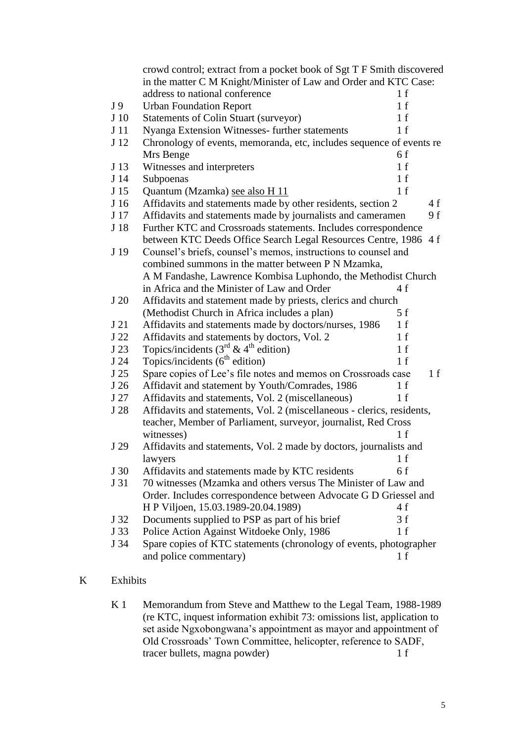|                 | crowd control; extract from a pocket book of Sgt T F Smith discovered  |      |     |
|-----------------|------------------------------------------------------------------------|------|-----|
|                 | in the matter C M Knight/Minister of Law and Order and KTC Case:       |      |     |
|                 | address to national conference                                         | 1 f  |     |
| J 9             | <b>Urban Foundation Report</b>                                         | 1 f  |     |
| J 10            | <b>Statements of Colin Stuart (surveyor)</b>                           | 1 f  |     |
| J <sub>11</sub> | Nyanga Extension Witnesses- further statements                         | 1 f  |     |
| J 12            | Chronology of events, memoranda, etc, includes sequence of events re   |      |     |
|                 | Mrs Benge                                                              | 6f   |     |
| J 13            | Witnesses and interpreters                                             | 1 f  |     |
| J 14            | Subpoenas                                                              | 1 f  |     |
| J 15            | Quantum (Mzamka) see also H 11                                         | 1 f  |     |
| J 16            | Affidavits and statements made by other residents, section 2           |      | 4f  |
| J 17            | Affidavits and statements made by journalists and cameramen            |      | 9 f |
| J 18            | Further KTC and Crossroads statements. Includes correspondence         |      |     |
|                 | between KTC Deeds Office Search Legal Resources Centre, 1986 4 f       |      |     |
| J 19            | Counsel's briefs, counsel's memos, instructions to counsel and         |      |     |
|                 | combined summons in the matter between P N Mzamka,                     |      |     |
|                 | A M Fandashe, Lawrence Kombisa Luphondo, the Methodist Church          |      |     |
|                 | in Africa and the Minister of Law and Order                            | 4f   |     |
| J 20            | Affidavits and statement made by priests, clerics and church           |      |     |
|                 | (Methodist Church in Africa includes a plan)                           | 5f   |     |
| J 21            | Affidavits and statements made by doctors/nurses, 1986                 | 1 f  |     |
| J 22            | Affidavits and statements by doctors, Vol. 2                           | 1 f  |     |
| J 23            | Topics/incidents $(3rd \& 4th edition)$                                | 1 f  |     |
| J 24            | Topics/incidents $(6th$ edition)                                       | 1 f  |     |
| J 25            | Spare copies of Lee's file notes and memos on Crossroads case          |      | 1 f |
| J 26            | Affidavit and statement by Youth/Comrades, 1986                        | 1 f  |     |
| J 27            | Affidavits and statements, Vol. 2 (miscellaneous)                      | 1 f  |     |
| J 28            | Affidavits and statements, Vol. 2 (miscellaneous - clerics, residents, |      |     |
|                 | teacher, Member of Parliament, surveyor, journalist, Red Cross         |      |     |
|                 | witnesses)                                                             | 1 f  |     |
| J 29            | Affidavits and statements, Vol. 2 made by doctors, journalists and     |      |     |
|                 | lawyers                                                                | -1 f |     |
| J 30            | Affidavits and statements made by KTC residents                        | 6 f  |     |
| J 31            | 70 witnesses (Mzamka and others versus The Minister of Law and         |      |     |
|                 | Order. Includes correspondence between Advocate G D Griessel and       |      |     |
|                 | H P Viljoen, 15.03.1989-20.04.1989)                                    | 4f   |     |
| J 32            | Documents supplied to PSP as part of his brief                         | 3 f  |     |
| J 33            | Police Action Against Witdoeke Only, 1986                              | 1 f  |     |
| J 34            | Spare copies of KTC statements (chronology of events, photographer     |      |     |
|                 | and police commentary)                                                 | 1 f  |     |
|                 |                                                                        |      |     |

### K Exhibits

K 1 Memorandum from Steve and Matthew to the Legal Team, 1988-1989 (re KTC, inquest information exhibit 73: omissions list, application to set aside Ngxobongwana's appointment as mayor and appointment of Old Crossroads' Town Committee, helicopter, reference to SADF,<br>tracer bullets, magna powder) 1 f tracer bullets, magna powder)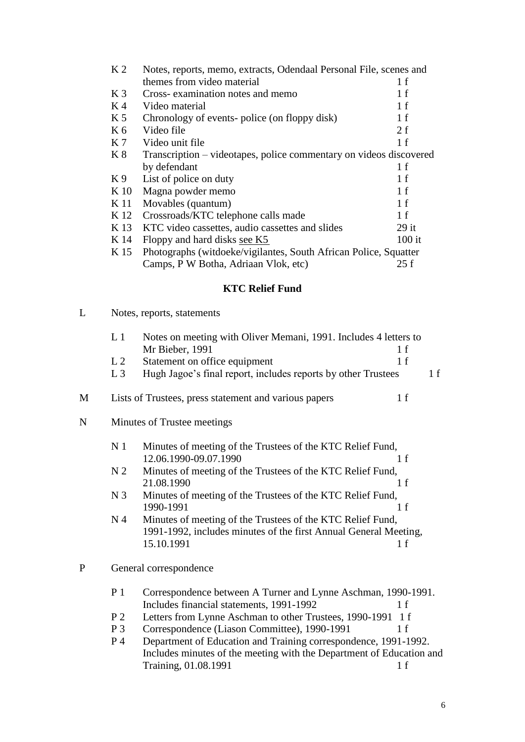| K <sub>2</sub> | Notes, reports, memo, extracts, Odendaal Personal File, scenes and |          |  |
|----------------|--------------------------------------------------------------------|----------|--|
|                | themes from video material                                         | 1 f      |  |
| K <sub>3</sub> | Cross- examination notes and memo                                  | 1 f      |  |
| K <sub>4</sub> | Video material                                                     | 1 f      |  |
| K <sub>5</sub> | Chronology of events-police (on floppy disk)                       | 1 f      |  |
| K <sub>6</sub> | Video file                                                         | 2f       |  |
| K 7            | Video unit file                                                    | 1 f      |  |
| K8             | Transcription – videotapes, police commentary on videos discovered |          |  |
|                | by defendant                                                       | 1 f      |  |
| K9             | List of police on duty                                             | 1 f      |  |
| K 10           | Magna powder memo                                                  | 1 f      |  |
| K 11           | Movables (quantum)                                                 | 1 f      |  |
| K 12           | Crossroads/KTC telephone calls made                                | 1 f      |  |
| K 13           | KTC video cassettes, audio cassettes and slides                    | $29$ it  |  |
| K 14           | Floppy and hard disks see K5                                       | $100$ it |  |
| K 15           | Photographs (witdoeke/vigilantes, South African Police, Squatter   |          |  |
|                | Camps, P W Botha, Adriaan Vlok, etc)                               | 25f      |  |

# **KTC Relief Fund**

| L |  |  | Notes, reports, statements |
|---|--|--|----------------------------|
|---|--|--|----------------------------|

|   | L <sub>1</sub>              | Notes on meeting with Oliver Memani, 1991. Includes 4 letters to         |     |
|---|-----------------------------|--------------------------------------------------------------------------|-----|
|   |                             | Mr Bieber, 1991                                                          | 1 f |
|   | L2                          | Statement on office equipment                                            | 1 f |
|   | $L_3$                       | Hugh Jagoe's final report, includes reports by other Trustees            | 1 f |
| М |                             | Lists of Trustees, press statement and various papers                    | 1 f |
| N | Minutes of Trustee meetings |                                                                          |     |
|   | N <sub>1</sub>              | Minutes of meeting of the Trustees of the KTC Relief Fund,               |     |
|   |                             | 12.06.1990-09.07.1990                                                    | 1 f |
|   | N <sub>2</sub>              | Minutes of meeting of the Trustees of the KTC Relief Fund,<br>21.08.1990 | 1 f |
|   | N <sub>3</sub>              | Minutes of meeting of the Trustees of the KTC Relief Fund,<br>1990-1991  | 1 f |
|   | N <sub>4</sub>              | Minutes of meeting of the Trustees of the KTC Relief Fund,               |     |
|   |                             | 1991-1992, includes minutes of the first Annual General Meeting,         |     |
|   |                             | 15.10.1991                                                               | 1 f |
| P |                             | General correspondence                                                   |     |
|   | P <sub>1</sub>              | Correspondence between A Turner and Lynne Aschman, 1990-1991.            |     |
|   |                             | Includes financial statements, 1991-1992                                 | 1 f |
|   | P <sub>2</sub>              | Letters from Lynne Aschman to other Trustees, 1990-1991 1 f              |     |
|   | $P_3$                       | Correspondence (Liason Committee), 1990-1991                             | 1 f |
|   | P <sub>4</sub>              | Department of Education and Training correspondence, 1991-1992.          |     |
|   |                             | Includes minutes of the meeting with the Department of Education and     |     |
|   |                             | Training, 01.08.1991                                                     | 1 f |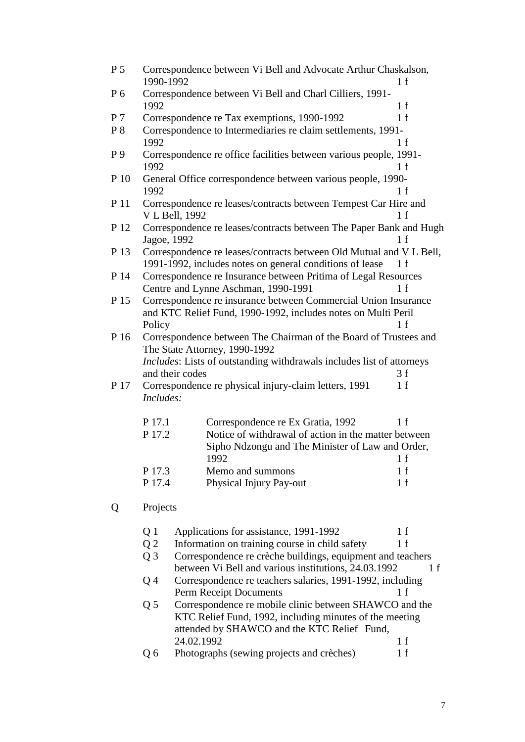| P <sub>5</sub> | 1990-1992      | Correspondence between Vi Bell and Advocate Arthur Chaskalson,        | 1 f |
|----------------|----------------|-----------------------------------------------------------------------|-----|
| P 6            | 1992           | Correspondence between Vi Bell and Charl Cilliers, 1991-              | 1 f |
| P <sub>7</sub> |                | Correspondence re Tax exemptions, 1990-1992                           | 1 f |
| $P_8$          |                | Correspondence to Intermediaries re claim settlements, 1991-          |     |
|                | 1992           |                                                                       | 1 f |
| P 9            |                | Correspondence re office facilities between various people, 1991-     |     |
|                | 1992           |                                                                       | 1 f |
| P 10           |                | General Office correspondence between various people, 1990-           |     |
|                | 1992           |                                                                       | 1 f |
| P 11           |                | Correspondence re leases/contracts between Tempest Car Hire and       |     |
|                |                | V L Bell, 1992                                                        | 1 f |
|                |                |                                                                       |     |
| P 12           | Jagoe, 1992    | Correspondence re leases/contracts between The Paper Bank and Hugh    | 1 f |
| P 13           |                | Correspondence re leases/contracts between Old Mutual and V L Bell,   |     |
|                |                | 1991-1992, includes notes on general conditions of lease              | 1 f |
| P 14           |                | Correspondence re Insurance between Pritima of Legal Resources        |     |
|                |                | Centre and Lynne Aschman, 1990-1991                                   | 1 f |
| P 15           |                | Correspondence re insurance between Commercial Union Insurance        |     |
|                |                | and KTC Relief Fund, 1990-1992, includes notes on Multi Peril         |     |
|                | Policy         |                                                                       | 1 f |
| P 16           |                | Correspondence between The Chairman of the Board of Trustees and      |     |
|                |                | The State Attorney, 1990-1992                                         |     |
|                |                | Includes: Lists of outstanding withdrawals includes list of attorneys |     |
|                |                | and their codes                                                       | 3f  |
| P 17           |                | Correspondence re physical injury-claim letters, 1991                 | 1 f |
|                | Includes:      |                                                                       |     |
|                |                |                                                                       |     |
|                | P 17.1         | Correspondence re Ex Gratia, 1992                                     | 1 f |
|                | P 17.2         | Notice of withdrawal of action in the matter between                  |     |
|                |                | Sipho Ndzongu and The Minister of Law and Order,                      |     |
|                |                |                                                                       |     |
|                |                | 1992                                                                  | 1 f |
|                | P 17.3         | Memo and summons                                                      | 1 f |
|                | P 17.4         | Physical Injury Pay-out                                               | 1 f |
| Q              | Projects       |                                                                       |     |
|                |                | Applications for assistance, 1991-1992                                | 1 f |
|                | Q 1            |                                                                       |     |
|                | Q <sub>2</sub> | Information on training course in child safety                        | 1 f |
|                | Q <sub>3</sub> | Correspondence re crèche buildings, equipment and teachers            |     |
|                |                | between Vi Bell and various institutions, 24.03.1992                  | 1 f |
|                | Q4             | Correspondence re teachers salaries, 1991-1992, including             |     |
|                |                | Perm Receipt Documents                                                | 1 f |
|                | Q <sub>5</sub> | Correspondence re mobile clinic between SHAWCO and the                |     |
|                |                | KTC Relief Fund, 1992, including minutes of the meeting               |     |
|                |                | attended by SHAWCO and the KTC Relief Fund,                           |     |
|                |                | 24.02.1992                                                            | 1 f |
|                | Q6             | Photographs (sewing projects and crèches)                             | 1 f |
|                |                |                                                                       |     |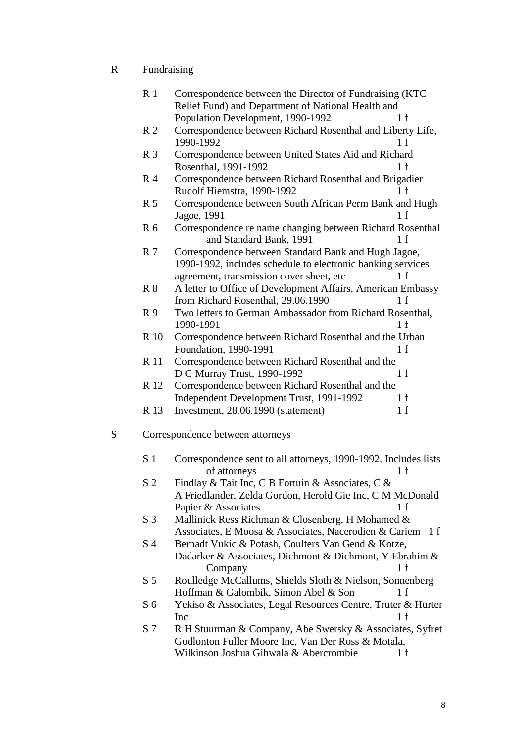R Fundraising

|   | R <sub>1</sub> | Correspondence between the Director of Fundraising (KTC)<br>Relief Fund) and Department of National Health and |
|---|----------------|----------------------------------------------------------------------------------------------------------------|
|   |                | Population Development, 1990-1992<br>1 f                                                                       |
|   | R <sub>2</sub> | Correspondence between Richard Rosenthal and Liberty Life,<br>1990-1992<br>1 f                                 |
|   | R <sub>3</sub> | Correspondence between United States Aid and Richard<br>Rosenthal, 1991-1992<br>1 f                            |
|   | R <sub>4</sub> | Correspondence between Richard Rosenthal and Brigadier                                                         |
|   |                | Rudolf Hiemstra, 1990-1992<br>1 f                                                                              |
|   | R <sub>5</sub> | Correspondence between South African Perm Bank and Hugh<br>Jagoe, 1991<br>1 f                                  |
|   | R <sub>6</sub> | Correspondence re name changing between Richard Rosenthal<br>and Standard Bank, 1991<br>1 f                    |
|   | R <sub>7</sub> | Correspondence between Standard Bank and Hugh Jagoe,                                                           |
|   |                | 1990-1992, includes schedule to electronic banking services                                                    |
|   |                | agreement, transmission cover sheet, etc<br>1 f                                                                |
|   | R <sub>8</sub> | A letter to Office of Development Affairs, American Embassy<br>from Richard Rosenthal, 29.06.1990<br>1 f       |
|   | R <sub>9</sub> | Two letters to German Ambassador from Richard Rosenthal,<br>1990-1991<br>1 f                                   |
|   | R 10           | Correspondence between Richard Rosenthal and the Urban<br>Foundation, 1990-1991<br>1 f                         |
|   | <b>R</b> 11    | Correspondence between Richard Rosenthal and the                                                               |
|   |                | D G Murray Trust, 1990-1992<br>1 f                                                                             |
|   | R 12           | Correspondence between Richard Rosenthal and the                                                               |
|   |                | Independent Development Trust, 1991-1992<br>1 f                                                                |
|   | R 13           | Investment, 28.06.1990 (statement)<br>1 f                                                                      |
| S |                | Correspondence between attorneys                                                                               |
|   | S <sub>1</sub> | Correspondence sent to all attorneys, 1990-1992. Includes lists<br>of attorneys<br>1 f                         |
|   | S <sub>2</sub> | Findlay & Tait Inc, C B Fortuin & Associates, C &                                                              |
|   |                | A Friedlander, Zelda Gordon, Herold Gie Inc, C M McDonald                                                      |
|   |                | Papier & Associates<br>1 f                                                                                     |
|   | S <sub>3</sub> | Mallinick Ress Richman & Closenberg, H Mohamed &                                                               |
|   |                | Associates, E Moosa & Associates, Nacerodien & Cariem<br>1 f                                                   |
|   | S <sub>4</sub> | Bernadt Vukic & Potash, Coulters Van Gend & Kotze,                                                             |
|   |                | Dadarker & Associates, Dichmont & Dichmont, Y Ebrahim &                                                        |
|   |                | 1 f                                                                                                            |
|   |                | Company                                                                                                        |
|   | S <sub>5</sub> | Roulledge McCallums, Shields Sloth & Nielson, Sonnenberg                                                       |
|   |                | Hoffman & Galombik, Simon Abel & Son<br>1 f                                                                    |
|   | S <sub>6</sub> | Yekiso & Associates, Legal Resources Centre, Truter & Hurter<br>1 f<br>Inc                                     |
|   | S 7            | R H Stuurman & Company, Abe Swersky & Associates, Syfret                                                       |
|   |                | Godlonton Fuller Moore Inc, Van Der Ross & Motala,                                                             |
|   |                | Wilkinson Joshua Gihwala & Abercrombie<br>1 f                                                                  |
|   |                |                                                                                                                |